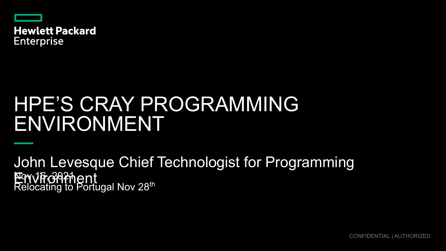

**Hewlett Packard Enterprise** 

# HPE'S CRAY PROGRAMMING ENVIRONMENT

**Nov 16, 2021** Relocating to Portugal Nov 28<sup>th</sup> John Levesque Chief Technologist for Programming Envirgighent

CONFIDENTIAL | AUTHORIZED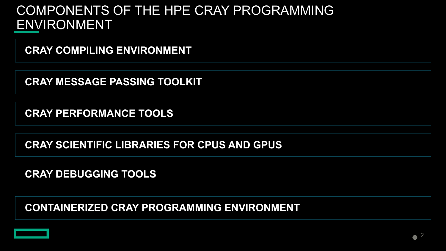# COMPONENTS OF THE HPE CRAY PROGRAMMING ENVIRONMENT

**CRAY COMPILING ENVIRONMENT**

**CRAY MESSAGE PASSING TOOLKIT**

**CRAY PERFORMANCE TOOLS**

**CRAY SCIENTIFIC LIBRARIES FOR CPUS AND GPUS**

**CRAY DEBUGGING TOOLS**

**CONTAINERIZED CRAY PROGRAMMING ENVIRONMENT**

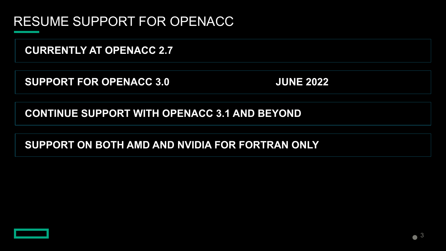### RESUME SUPPORT FOR OPENACC

**CURRENTLY AT OPENACC 2.7**

**SUPPORT FOR OPENACC 3.0 JUNE 2022** 

**CONTINUE SUPPORT WITH OPENACC 3.1 AND BEYOND**

**SUPPORT ON BOTH AMD AND NVIDIA FOR FORTRAN ONLY**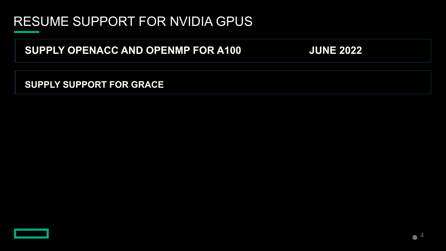# RESUME SUPPORT FOR NVIDIA GPUS

**SUPPLY OPENACC AND OPENMP FOR A100 JUNE 2022**

**SUPPLY SUPPORT FOR GRACE**